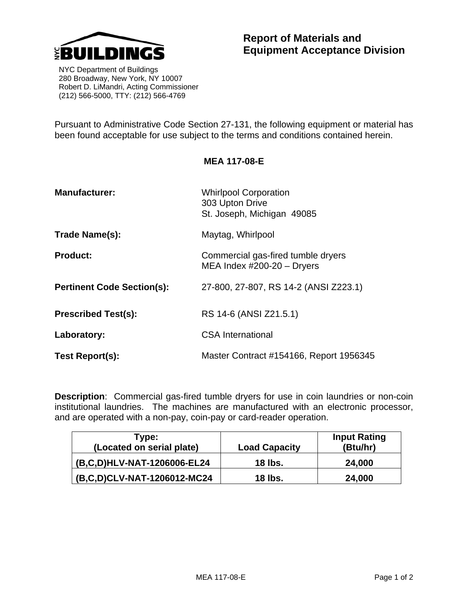

 NYC Department of Buildings 280 Broadway, New York, NY 10007 Robert D. LiMandri, Acting Commissioner (212) 566-5000, TTY: (212) 566-4769

Pursuant to Administrative Code Section 27-131, the following equipment or material has been found acceptable for use subject to the terms and conditions contained herein.

| <b>Manufacturer:</b>              | <b>Whirlpool Corporation</b><br>303 Upton Drive<br>St. Joseph, Michigan 49085 |  |
|-----------------------------------|-------------------------------------------------------------------------------|--|
| Trade Name(s):                    | Maytag, Whirlpool                                                             |  |
| <b>Product:</b>                   | Commercial gas-fired tumble dryers<br>MEA Index $\#200-20$ - Dryers           |  |
| <b>Pertinent Code Section(s):</b> | 27-800, 27-807, RS 14-2 (ANSI Z223.1)                                         |  |
| <b>Prescribed Test(s):</b>        | RS 14-6 (ANSI Z21.5.1)                                                        |  |
| Laboratory:                       | CSA International                                                             |  |
| Test Report(s):                   | Master Contract #154166, Report 1956345                                       |  |

**Description**: Commercial gas-fired tumble dryers for use in coin laundries or non-coin institutional laundries. The machines are manufactured with an electronic processor, and are operated with a non-pay, coin-pay or card-reader operation.

| Type:<br>(Located on serial plate) | <b>Load Capacity</b> | <b>Input Rating</b><br>(Btu/hr) |
|------------------------------------|----------------------|---------------------------------|
| (B,C,D)HLV-NAT-1206006-EL24        | 18 lbs.              | 24,000                          |
| (B,C,D)CLV-NAT-1206012-MC24        | 18 lbs.              | 24,000                          |

## **MEA 117-08-E**